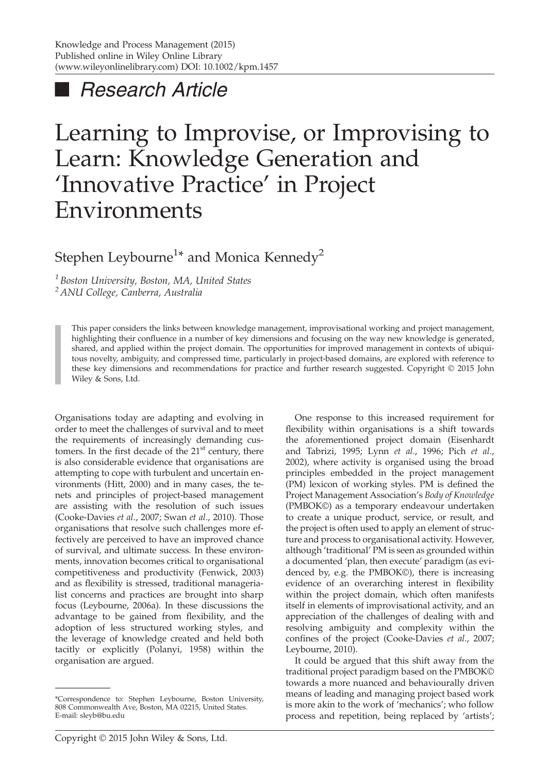# ■ Research Article

# Learning to Improvise, or Improvising to Learn: Knowledge Generation and 'Innovative Practice' in Project Environments

Stephen Leybourne<sup>1\*</sup> and Monica Kennedy<sup>2</sup>

 $1$ Boston University, Boston, MA, United States <sup>2</sup> ANU College, Canberra, Australia

This paper considers the links between knowledge management, improvisational working and project management, highlighting their confluence in a number of key dimensions and focusing on the way new knowledge is generated, shared, and applied within the project domain. The opportunities for improved management in contexts of ubiquitous novelty, ambiguity, and compressed time, particularly in project-based domains, are explored with reference to these key dimensions and recommendations for practice and further research suggested. Copyright © 2015 John Wiley & Sons, Ltd.

Organisations today are adapting and evolving in order to meet the challenges of survival and to meet the requirements of increasingly demanding customers. In the first decade of the  $21<sup>st</sup>$  century, there is also considerable evidence that organisations are attempting to cope with turbulent and uncertain environments (Hitt, 2000) and in many cases, the tenets and principles of project-based management are assisting with the resolution of such issues (Cooke-Davies et al., 2007; Swan et al., 2010). Those organisations that resolve such challenges more effectively are perceived to have an improved chance of survival, and ultimate success. In these environments, innovation becomes critical to organisational competitiveness and productivity (Fenwick, 2003) and as flexibility is stressed, traditional managerialist concerns and practices are brought into sharp focus (Leybourne, 2006a). In these discussions the advantage to be gained from flexibility, and the adoption of less structured working styles, and the leverage of knowledge created and held both tacitly or explicitly (Polanyi, 1958) within the organisation are argued.

flexibility within organisations is a shift towards the aforementioned project domain (Eisenhardt and Tabrizi, 1995; Lynn et al., 1996; Pich et al., 2002), where activity is organised using the broad principles embedded in the project management (PM) lexicon of working styles. PM is defined the Project Management Association's Body of Knowledge (PMBOK©) as a temporary endeavour undertaken to create a unique product, service, or result, and the project is often used to apply an element of structure and process to organisational activity. However, although 'traditional' PM is seen as grounded within a documented 'plan, then execute' paradigm (as evidenced by, e.g. the PMBOK©), there is increasing evidence of an overarching interest in flexibility within the project domain, which often manifests itself in elements of improvisational activity, and an appreciation of the challenges of dealing with and resolving ambiguity and complexity within the confines of the project (Cooke-Davies et al., 2007; Leybourne, 2010).

One response to this increased requirement for

It could be argued that this shift away from the traditional project paradigm based on the PMBOK© towards a more nuanced and behaviourally driven means of leading and managing project based work is more akin to the work of 'mechanics'; who follow process and repetition, being replaced by 'artists';

<sup>\*</sup>Correspondence to: Stephen Leybourne, Boston University, 808 Commonwealth Ave, Boston, MA 02215, United States. E-mail: sleyb@bu.edu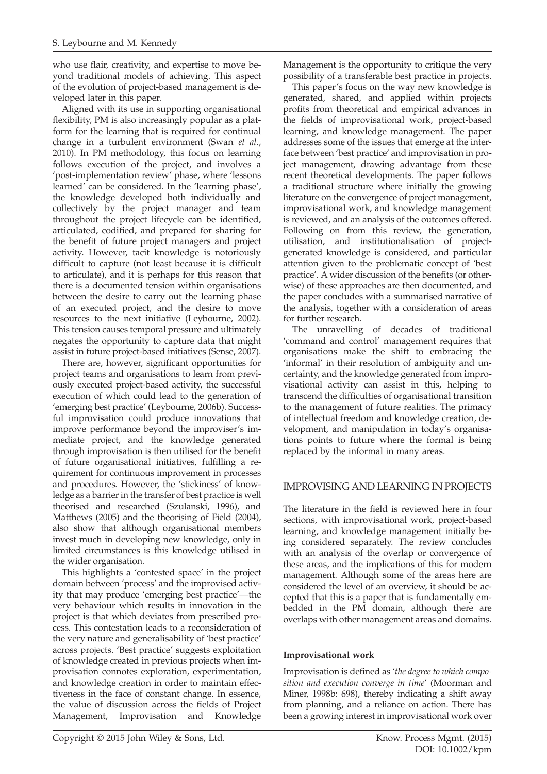who use flair, creativity, and expertise to move beyond traditional models of achieving. This aspect of the evolution of project-based management is developed later in this paper.

Aligned with its use in supporting organisational flexibility, PM is also increasingly popular as a platform for the learning that is required for continual change in a turbulent environment (Swan et al., 2010). In PM methodology, this focus on learning follows execution of the project, and involves a 'post-implementation review' phase, where 'lessons learned' can be considered. In the 'learning phase', the knowledge developed both individually and collectively by the project manager and team throughout the project lifecycle can be identified, articulated, codified, and prepared for sharing for the benefit of future project managers and project activity. However, tacit knowledge is notoriously difficult to capture (not least because it is difficult to articulate), and it is perhaps for this reason that there is a documented tension within organisations between the desire to carry out the learning phase of an executed project, and the desire to move resources to the next initiative (Leybourne, 2002). This tension causes temporal pressure and ultimately negates the opportunity to capture data that might assist in future project-based initiatives (Sense, 2007).

There are, however, significant opportunities for project teams and organisations to learn from previously executed project-based activity, the successful execution of which could lead to the generation of 'emerging best practice' (Leybourne, 2006b). Successful improvisation could produce innovations that improve performance beyond the improviser's immediate project, and the knowledge generated through improvisation is then utilised for the benefit of future organisational initiatives, fulfilling a requirement for continuous improvement in processes and procedures. However, the 'stickiness' of knowledge as a barrier in the transfer of best practice is well theorised and researched (Szulanski, 1996), and Matthews (2005) and the theorising of Field (2004), also show that although organisational members invest much in developing new knowledge, only in limited circumstances is this knowledge utilised in the wider organisation.

This highlights a 'contested space' in the project domain between 'process' and the improvised activity that may produce 'emerging best practice'—the very behaviour which results in innovation in the project is that which deviates from prescribed process. This contestation leads to a reconsideration of the very nature and generalisability of 'best practice' across projects. 'Best practice' suggests exploitation of knowledge created in previous projects when improvisation connotes exploration, experimentation, and knowledge creation in order to maintain effectiveness in the face of constant change. In essence, the value of discussion across the fields of Project Management, Improvisation and Knowledge

Management is the opportunity to critique the very possibility of a transferable best practice in projects.

This paper's focus on the way new knowledge is generated, shared, and applied within projects profits from theoretical and empirical advances in the fields of improvisational work, project-based learning, and knowledge management. The paper addresses some of the issues that emerge at the interface between 'best practice' and improvisation in project management, drawing advantage from these recent theoretical developments. The paper follows a traditional structure where initially the growing literature on the convergence of project management, improvisational work, and knowledge management is reviewed, and an analysis of the outcomes offered. Following on from this review, the generation, utilisation, and institutionalisation of projectgenerated knowledge is considered, and particular attention given to the problematic concept of 'best practice'. A wider discussion of the benefits (or otherwise) of these approaches are then documented, and the paper concludes with a summarised narrative of the analysis, together with a consideration of areas for further research.

The unravelling of decades of traditional 'command and control' management requires that organisations make the shift to embracing the 'informal' in their resolution of ambiguity and uncertainty, and the knowledge generated from improvisational activity can assist in this, helping to transcend the difficulties of organisational transition to the management of future realities. The primacy of intellectual freedom and knowledge creation, development, and manipulation in today's organisations points to future where the formal is being replaced by the informal in many areas.

#### IMPROVISING AND LEARNING IN PROJECTS

The literature in the field is reviewed here in four sections, with improvisational work, project-based learning, and knowledge management initially being considered separately. The review concludes with an analysis of the overlap or convergence of these areas, and the implications of this for modern management. Although some of the areas here are considered the level of an overview, it should be accepted that this is a paper that is fundamentally embedded in the PM domain, although there are overlaps with other management areas and domains.

#### Improvisational work

Improvisation is defined as 'the degree to which composition and execution converge in time' (Moorman and Miner, 1998b: 698), thereby indicating a shift away from planning, and a reliance on action. There has been a growing interest in improvisational work over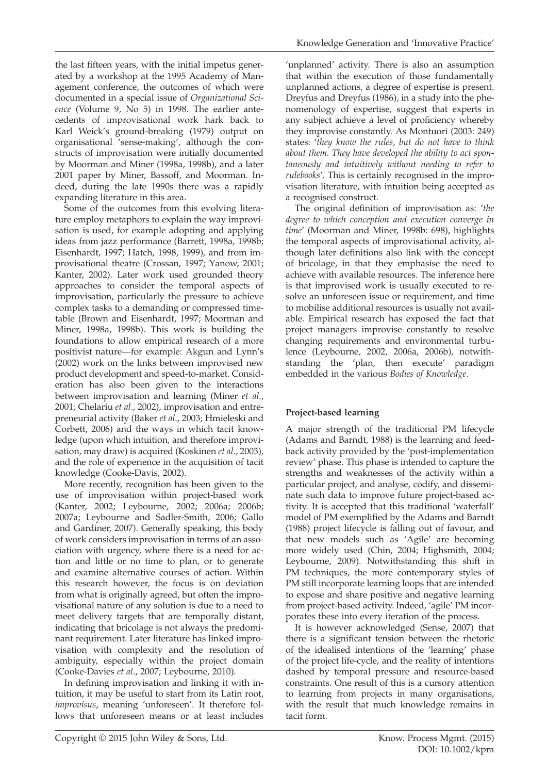the last fifteen years, with the initial impetus generated by a workshop at the 1995 Academy of Management conference, the outcomes of which were documented in a special issue of Organizational Science (Volume 9, No 5) in 1998. The earlier antecedents of improvisational work hark back to Karl Weick's ground-breaking (1979) output on organisational 'sense-making', although the constructs of improvisation were initially documented by Moorman and Miner (1998a, 1998b), and a later 2001 paper by Miner, Bassoff, and Moorman. Indeed, during the late 1990s there was a rapidly expanding literature in this area.

Some of the outcomes from this evolving literature employ metaphors to explain the way improvisation is used, for example adopting and applying ideas from jazz performance (Barrett, 1998a, 1998b; Eisenhardt, 1997; Hatch, 1998, 1999), and from improvisational theatre (Crossan, 1997; Yanow, 2001; Kanter, 2002). Later work used grounded theory approaches to consider the temporal aspects of improvisation, particularly the pressure to achieve complex tasks to a demanding or compressed timetable (Brown and Eisenhardt, 1997; Moorman and Miner, 1998a, 1998b). This work is building the foundations to allow empirical research of a more positivist nature—for example: Akgun and Lynn's (2002) work on the links between improvised new product development and speed-to-market. Consideration has also been given to the interactions between improvisation and learning (Miner et al., 2001; Chelariu et al., 2002), improvisation and entrepreneurial activity (Baker et al., 2003; Hmieleski and Corbett, 2006) and the ways in which tacit knowledge (upon which intuition, and therefore improvisation, may draw) is acquired (Koskinen et al., 2003), and the role of experience in the acquisition of tacit knowledge (Cooke-Davis, 2002).

More recently, recognition has been given to the use of improvisation within project-based work (Kanter, 2002; Leybourne, 2002; 2006a; 2006b; 2007a; Leybourne and Sadler-Smith, 2006; Gallo and Gardiner, 2007). Generally speaking, this body of work considers improvisation in terms of an association with urgency, where there is a need for action and little or no time to plan, or to generate and examine alternative courses of action. Within this research however, the focus is on deviation from what is originally agreed, but often the improvisational nature of any solution is due to a need to meet delivery targets that are temporally distant, indicating that bricolage is not always the predominant requirement. Later literature has linked improvisation with complexity and the resolution of ambiguity, especially within the project domain (Cooke-Davies et al., 2007; Leybourne, 2010).

In defining improvisation and linking it with intuition, it may be useful to start from its Latin root, improvisus, meaning 'unforeseen'. It therefore follows that unforeseen means or at least includes

'unplanned' activity. There is also an assumption that within the execution of those fundamentally unplanned actions, a degree of expertise is present. Dreyfus and Dreyfus (1986), in a study into the phenomenology of expertise, suggest that experts in any subject achieve a level of proficiency whereby they improvise constantly. As Montuori (2003: 249) states: 'they know the rules, but do not have to think about them. They have developed the ability to act spontaneously and intuitively without needing to refer to rulebooks'. This is certainly recognised in the improvisation literature, with intuition being accepted as a recognised construct.

The original definition of improvisation as: 'the degree to which conception and execution converge in time' (Moorman and Miner, 1998b: 698), highlights the temporal aspects of improvisational activity, although later definitions also link with the concept of bricolage, in that they emphasise the need to achieve with available resources. The inference here is that improvised work is usually executed to resolve an unforeseen issue or requirement, and time to mobilise additional resources is usually not available. Empirical research has exposed the fact that project managers improvise constantly to resolve changing requirements and environmental turbulence (Leybourne, 2002, 2006a, 2006b), notwithstanding the 'plan, then execute' paradigm embedded in the various Bodies of Knowledge.

#### Project-based learning

A major strength of the traditional PM lifecycle (Adams and Barndt, 1988) is the learning and feedback activity provided by the 'post-implementation review' phase. This phase is intended to capture the strengths and weaknesses of the activity within a particular project, and analyse, codify, and disseminate such data to improve future project-based activity. It is accepted that this traditional 'waterfall' model of PM exemplified by the Adams and Barndt (1988) project lifecycle is falling out of favour, and that new models such as 'Agile' are becoming more widely used (Chin, 2004; Highsmith, 2004; Leybourne, 2009). Notwithstanding this shift in PM techniques, the more contemporary styles of PM still incorporate learning loops that are intended to expose and share positive and negative learning from project-based activity. Indeed, 'agile' PM incorporates these into every iteration of the process.

It is however acknowledged (Sense, 2007) that there is a significant tension between the rhetoric of the idealised intentions of the 'learning' phase of the project life-cycle, and the reality of intentions dashed by temporal pressure and resource-based constraints. One result of this is a cursory attention to learning from projects in many organisations, with the result that much knowledge remains in tacit form.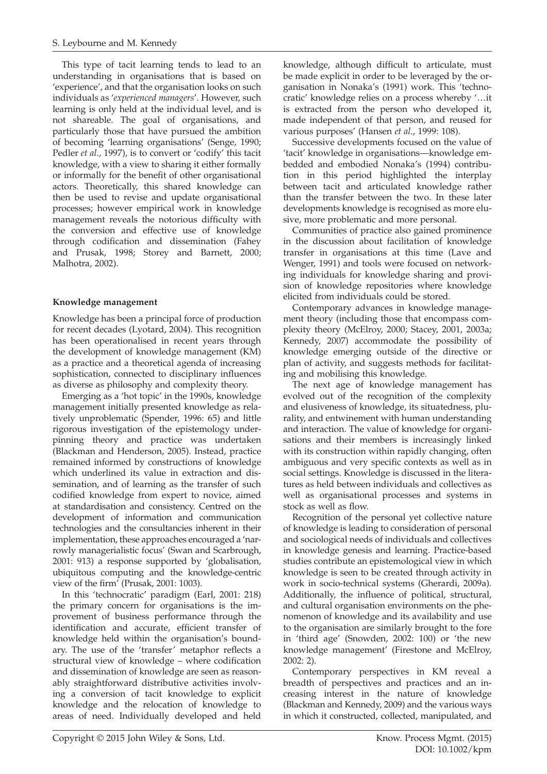This type of tacit learning tends to lead to an understanding in organisations that is based on 'experience', and that the organisation looks on such individuals as 'experienced managers'. However, such learning is only held at the individual level, and is not shareable. The goal of organisations, and particularly those that have pursued the ambition of becoming 'learning organisations' (Senge, 1990; Pedler et al., 1997), is to convert or 'codify' this tacit knowledge, with a view to sharing it either formally or informally for the benefit of other organisational actors. Theoretically, this shared knowledge can then be used to revise and update organisational processes; however empirical work in knowledge management reveals the notorious difficulty with the conversion and effective use of knowledge through codification and dissemination (Fahey and Prusak, 1998; Storey and Barnett, 2000; Malhotra, 2002).

#### Knowledge management

Knowledge has been a principal force of production for recent decades (Lyotard, 2004). This recognition has been operationalised in recent years through the development of knowledge management (KM) as a practice and a theoretical agenda of increasing sophistication, connected to disciplinary influences as diverse as philosophy and complexity theory.

Emerging as a 'hot topic' in the 1990s, knowledge management initially presented knowledge as relatively unproblematic (Spender, 1996: 65) and little rigorous investigation of the epistemology underpinning theory and practice was undertaken (Blackman and Henderson, 2005). Instead, practice remained informed by constructions of knowledge which underlined its value in extraction and dissemination, and of learning as the transfer of such codified knowledge from expert to novice, aimed at standardisation and consistency. Centred on the development of information and communication technologies and the consultancies inherent in their implementation, these approaches encouraged a 'narrowly managerialistic focus' (Swan and Scarbrough, 2001: 913) a response supported by 'globalisation, ubiquitous computing and the knowledge-centric view of the firm' (Prusak, 2001: 1003).

In this 'technocratic' paradigm (Earl, 2001: 218) the primary concern for organisations is the improvement of business performance through the identification and accurate, efficient transfer of knowledge held within the organisation's boundary. The use of the 'transfer' metaphor reflects a structural view of knowledge – where codification and dissemination of knowledge are seen as reasonably straightforward distributive activities involving a conversion of tacit knowledge to explicit knowledge and the relocation of knowledge to areas of need. Individually developed and held knowledge, although difficult to articulate, must be made explicit in order to be leveraged by the organisation in Nonaka's (1991) work. This 'technocratic' knowledge relies on a process whereby '…it is extracted from the person who developed it, made independent of that person, and reused for various purposes' (Hansen et al., 1999: 108).

Successive developments focused on the value of 'tacit' knowledge in organisations—knowledge embedded and embodied Nonaka's (1994) contribution in this period highlighted the interplay between tacit and articulated knowledge rather than the transfer between the two. In these later developments knowledge is recognised as more elusive, more problematic and more personal.

Communities of practice also gained prominence in the discussion about facilitation of knowledge transfer in organisations at this time (Lave and Wenger, 1991) and tools were focused on networking individuals for knowledge sharing and provision of knowledge repositories where knowledge elicited from individuals could be stored.

Contemporary advances in knowledge management theory (including those that encompass complexity theory (McElroy, 2000; Stacey, 2001, 2003a; Kennedy, 2007) accommodate the possibility of knowledge emerging outside of the directive or plan of activity, and suggests methods for facilitating and mobilising this knowledge.

The next age of knowledge management has evolved out of the recognition of the complexity and elusiveness of knowledge, its situatedness, plurality, and entwinement with human understanding and interaction. The value of knowledge for organisations and their members is increasingly linked with its construction within rapidly changing, often ambiguous and very specific contexts as well as in social settings. Knowledge is discussed in the literatures as held between individuals and collectives as well as organisational processes and systems in stock as well as flow.

Recognition of the personal yet collective nature of knowledge is leading to consideration of personal and sociological needs of individuals and collectives in knowledge genesis and learning. Practice-based studies contribute an epistemological view in which knowledge is seen to be created through activity in work in socio-technical systems (Gherardi, 2009a). Additionally, the influence of political, structural, and cultural organisation environments on the phenomenon of knowledge and its availability and use to the organisation are similarly brought to the fore in 'third age' (Snowden, 2002: 100) or 'the new knowledge management' (Firestone and McElroy, 2002: 2).

Contemporary perspectives in KM reveal a breadth of perspectives and practices and an increasing interest in the nature of knowledge (Blackman and Kennedy, 2009) and the various ways in which it constructed, collected, manipulated, and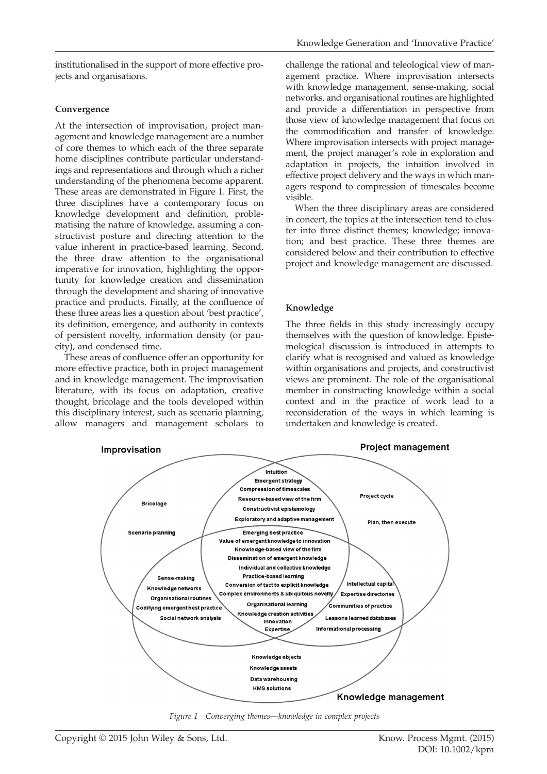institutionalised in the support of more effective projects and organisations.

#### Convergence

At the intersection of improvisation, project management and knowledge management are a number of core themes to which each of the three separate home disciplines contribute particular understandings and representations and through which a richer understanding of the phenomena become apparent. These areas are demonstrated in Figure 1. First, the three disciplines have a contemporary focus on knowledge development and definition, problematising the nature of knowledge, assuming a constructivist posture and directing attention to the value inherent in practice-based learning. Second, the three draw attention to the organisational imperative for innovation, highlighting the opportunity for knowledge creation and dissemination through the development and sharing of innovative practice and products. Finally, at the confluence of these three areas lies a question about 'best practice', its definition, emergence, and authority in contexts of persistent novelty, information density (or paucity), and condensed time.

These areas of confluence offer an opportunity for more effective practice, both in project management and in knowledge management. The improvisation literature, with its focus on adaptation, creative thought, bricolage and the tools developed within this disciplinary interest, such as scenario planning, allow managers and management scholars to

challenge the rational and teleological view of management practice. Where improvisation intersects with knowledge management, sense-making, social networks, and organisational routines are highlighted and provide a differentiation in perspective from those view of knowledge management that focus on the commodification and transfer of knowledge. Where improvisation intersects with project management, the project manager's role in exploration and adaptation in projects, the intuition involved in effective project delivery and the ways in which managers respond to compression of timescales become visible.

When the three disciplinary areas are considered in concert, the topics at the intersection tend to cluster into three distinct themes; knowledge; innovation; and best practice. These three themes are considered below and their contribution to effective project and knowledge management are discussed.

#### Knowledge

The three fields in this study increasingly occupy themselves with the question of knowledge. Epistemological discussion is introduced in attempts to clarify what is recognised and valued as knowledge within organisations and projects, and constructivist views are prominent. The role of the organisational member in constructing knowledge within a social context and in the practice of work lead to a reconsideration of the ways in which learning is undertaken and knowledge is created.



Figure 1 Converging themes—knowledge in complex projects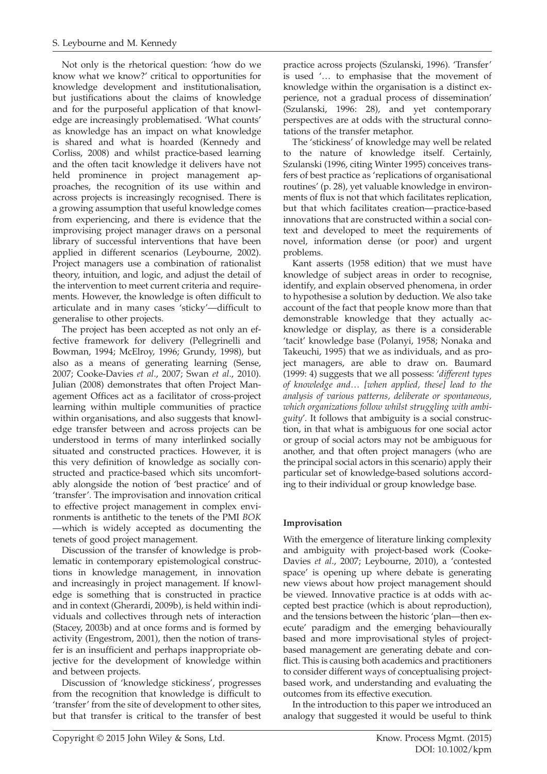Not only is the rhetorical question: 'how do we know what we know?' critical to opportunities for knowledge development and institutionalisation, but justifications about the claims of knowledge and for the purposeful application of that knowledge are increasingly problematised. 'What counts' as knowledge has an impact on what knowledge is shared and what is hoarded (Kennedy and Corliss, 2008) and whilst practice-based learning and the often tacit knowledge it delivers have not held prominence in project management approaches, the recognition of its use within and across projects is increasingly recognised. There is a growing assumption that useful knowledge comes from experiencing, and there is evidence that the improvising project manager draws on a personal library of successful interventions that have been applied in different scenarios (Leybourne, 2002). Project managers use a combination of rationalist theory, intuition, and logic, and adjust the detail of the intervention to meet current criteria and requirements. However, the knowledge is often difficult to articulate and in many cases 'sticky'—difficult to generalise to other projects.

The project has been accepted as not only an effective framework for delivery (Pellegrinelli and Bowman, 1994; McElroy, 1996; Grundy, 1998), but also as a means of generating learning (Sense, 2007; Cooke-Davies et al., 2007; Swan et al., 2010). Julian (2008) demonstrates that often Project Management Offices act as a facilitator of cross-project learning within multiple communities of practice within organisations, and also suggests that knowledge transfer between and across projects can be understood in terms of many interlinked socially situated and constructed practices. However, it is this very definition of knowledge as socially constructed and practice-based which sits uncomfortably alongside the notion of 'best practice' and of 'transfer'. The improvisation and innovation critical to effective project management in complex environments is antithetic to the tenets of the PMI BOK —which is widely accepted as documenting the tenets of good project management.

Discussion of the transfer of knowledge is problematic in contemporary epistemological constructions in knowledge management, in innovation and increasingly in project management. If knowledge is something that is constructed in practice and in context (Gherardi, 2009b), is held within individuals and collectives through nets of interaction (Stacey, 2003b) and at once forms and is formed by activity (Engestrom, 2001), then the notion of transfer is an insufficient and perhaps inappropriate objective for the development of knowledge within and between projects.

Discussion of 'knowledge stickiness', progresses from the recognition that knowledge is difficult to 'transfer' from the site of development to other sites, but that transfer is critical to the transfer of best practice across projects (Szulanski, 1996). 'Transfer' is used '… to emphasise that the movement of knowledge within the organisation is a distinct experience, not a gradual process of dissemination' (Szulanski, 1996: 28), and yet contemporary perspectives are at odds with the structural connotations of the transfer metaphor.

The 'stickiness' of knowledge may well be related to the nature of knowledge itself. Certainly, Szulanski (1996, citing Winter 1995) conceives transfers of best practice as 'replications of organisational routines' (p. 28), yet valuable knowledge in environments of flux is not that which facilitates replication, but that which facilitates creation—practice-based innovations that are constructed within a social context and developed to meet the requirements of novel, information dense (or poor) and urgent problems.

Kant asserts (1958 edition) that we must have knowledge of subject areas in order to recognise, identify, and explain observed phenomena, in order to hypothesise a solution by deduction. We also take account of the fact that people know more than that demonstrable knowledge that they actually acknowledge or display, as there is a considerable 'tacit' knowledge base (Polanyi, 1958; Nonaka and Takeuchi, 1995) that we as individuals, and as project managers, are able to draw on. Baumard (1999: 4) suggests that we all possess: 'different types of knowledge and… [when applied, these] lead to the analysis of various patterns, deliberate or spontaneous, which organizations follow whilst struggling with ambiguity'. It follows that ambiguity is a social construction, in that what is ambiguous for one social actor or group of social actors may not be ambiguous for another, and that often project managers (who are the principal social actors in this scenario) apply their particular set of knowledge-based solutions according to their individual or group knowledge base.

#### Improvisation

With the emergence of literature linking complexity and ambiguity with project-based work (Cooke-Davies et al., 2007; Leybourne, 2010), a 'contested space' is opening up where debate is generating new views about how project management should be viewed. Innovative practice is at odds with accepted best practice (which is about reproduction), and the tensions between the historic 'plan—then execute' paradigm and the emerging behaviourally based and more improvisational styles of projectbased management are generating debate and conflict. This is causing both academics and practitioners to consider different ways of conceptualising projectbased work, and understanding and evaluating the outcomes from its effective execution.

In the introduction to this paper we introduced an analogy that suggested it would be useful to think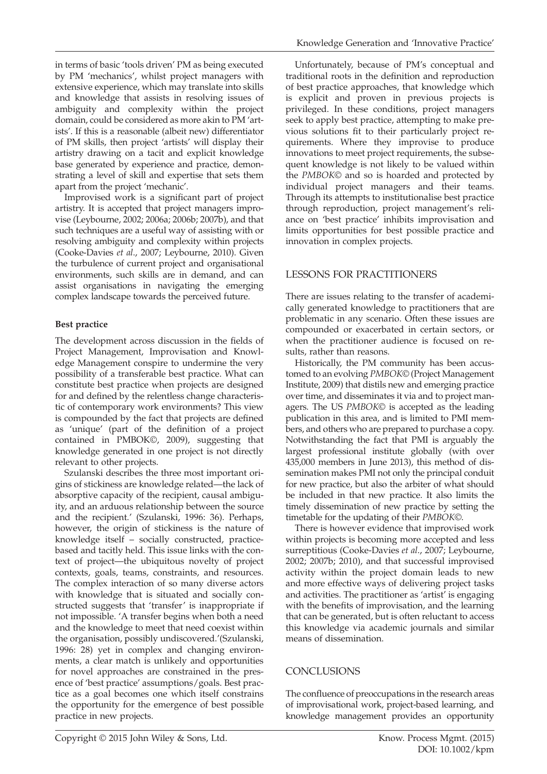in terms of basic 'tools driven' PM as being executed by PM 'mechanics', whilst project managers with extensive experience, which may translate into skills and knowledge that assists in resolving issues of ambiguity and complexity within the project domain, could be considered as more akin to PM 'artists'. If this is a reasonable (albeit new) differentiator of PM skills, then project 'artists' will display their artistry drawing on a tacit and explicit knowledge base generated by experience and practice, demonstrating a level of skill and expertise that sets them apart from the project 'mechanic'.

Improvised work is a significant part of project artistry. It is accepted that project managers improvise (Leybourne, 2002; 2006a; 2006b; 2007b), and that such techniques are a useful way of assisting with or resolving ambiguity and complexity within projects (Cooke-Davies et al., 2007; Leybourne, 2010). Given the turbulence of current project and organisational environments, such skills are in demand, and can assist organisations in navigating the emerging complex landscape towards the perceived future.

#### Best practice

The development across discussion in the fields of Project Management, Improvisation and Knowledge Management conspire to undermine the very possibility of a transferable best practice. What can constitute best practice when projects are designed for and defined by the relentless change characteristic of contemporary work environments? This view is compounded by the fact that projects are defined as 'unique' (part of the definition of a project contained in PMBOK©, 2009), suggesting that knowledge generated in one project is not directly relevant to other projects.

Szulanski describes the three most important origins of stickiness are knowledge related—the lack of absorptive capacity of the recipient, causal ambiguity, and an arduous relationship between the source and the recipient.' (Szulanski, 1996: 36). Perhaps, however, the origin of stickiness is the nature of knowledge itself – socially constructed, practicebased and tacitly held. This issue links with the context of project—the ubiquitous novelty of project contexts, goals, teams, constraints, and resources. The complex interaction of so many diverse actors with knowledge that is situated and socially constructed suggests that 'transfer' is inappropriate if not impossible. 'A transfer begins when both a need and the knowledge to meet that need coexist within the organisation, possibly undiscovered.'(Szulanski, 1996: 28) yet in complex and changing environments, a clear match is unlikely and opportunities for novel approaches are constrained in the presence of 'best practice' assumptions/goals. Best practice as a goal becomes one which itself constrains the opportunity for the emergence of best possible practice in new projects.

Unfortunately, because of PM's conceptual and traditional roots in the definition and reproduction of best practice approaches, that knowledge which is explicit and proven in previous projects is privileged. In these conditions, project managers seek to apply best practice, attempting to make previous solutions fit to their particularly project requirements. Where they improvise to produce innovations to meet project requirements, the subsequent knowledge is not likely to be valued within the PMBOK© and so is hoarded and protected by individual project managers and their teams. Through its attempts to institutionalise best practice through reproduction, project management's reliance on 'best practice' inhibits improvisation and limits opportunities for best possible practice and innovation in complex projects.

### LESSONS FOR PRACTITIONERS

There are issues relating to the transfer of academically generated knowledge to practitioners that are problematic in any scenario. Often these issues are compounded or exacerbated in certain sectors, or when the practitioner audience is focused on results, rather than reasons.

Historically, the PM community has been accustomed to an evolving PMBOK© (Project Management Institute, 2009) that distils new and emerging practice over time, and disseminates it via and to project managers. The US PMBOK© is accepted as the leading publication in this area, and is limited to PMI members, and others who are prepared to purchase a copy. Notwithstanding the fact that PMI is arguably the largest professional institute globally (with over 435,000 members in June 2013), this method of dissemination makes PMI not only the principal conduit for new practice, but also the arbiter of what should be included in that new practice. It also limits the timely dissemination of new practice by setting the timetable for the updating of their PMBOK©.

There is however evidence that improvised work within projects is becoming more accepted and less surreptitious (Cooke-Davies et al., 2007; Leybourne, 2002; 2007b; 2010), and that successful improvised activity within the project domain leads to new and more effective ways of delivering project tasks and activities. The practitioner as 'artist' is engaging with the benefits of improvisation, and the learning that can be generated, but is often reluctant to access this knowledge via academic journals and similar means of dissemination.

## **CONCLUSIONS**

The confluence of preoccupations in the research areas of improvisational work, project-based learning, and knowledge management provides an opportunity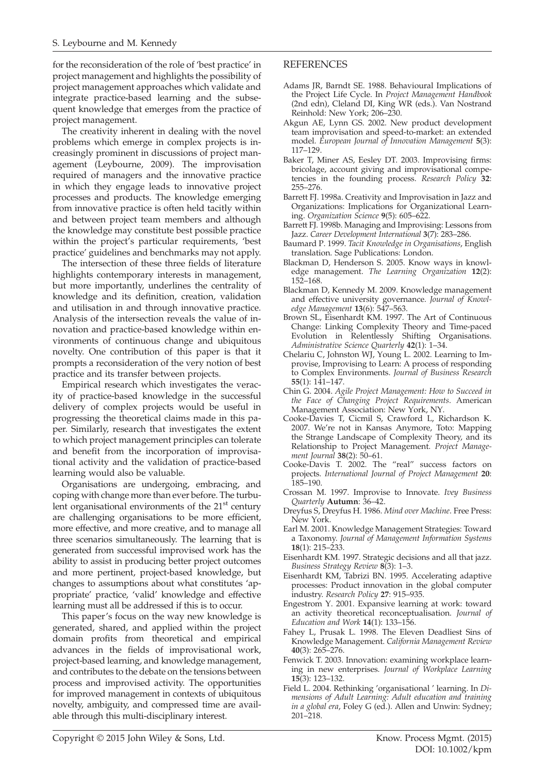for the reconsideration of the role of 'best practice' in project management and highlights the possibility of project management approaches which validate and integrate practice-based learning and the subsequent knowledge that emerges from the practice of project management.

The creativity inherent in dealing with the novel problems which emerge in complex projects is increasingly prominent in discussions of project management (Leybourne, 2009). The improvisation required of managers and the innovative practice in which they engage leads to innovative project processes and products. The knowledge emerging from innovative practice is often held tacitly within and between project team members and although the knowledge may constitute best possible practice within the project's particular requirements, 'best practice' guidelines and benchmarks may not apply.

The intersection of these three fields of literature highlights contemporary interests in management, but more importantly, underlines the centrality of knowledge and its definition, creation, validation and utilisation in and through innovative practice. Analysis of the intersection reveals the value of innovation and practice-based knowledge within environments of continuous change and ubiquitous novelty. One contribution of this paper is that it prompts a reconsideration of the very notion of best practice and its transfer between projects.

Empirical research which investigates the veracity of practice-based knowledge in the successful delivery of complex projects would be useful in progressing the theoretical claims made in this paper. Similarly, research that investigates the extent to which project management principles can tolerate and benefit from the incorporation of improvisational activity and the validation of practice-based learning would also be valuable.

Organisations are undergoing, embracing, and coping with change more than ever before. The turbulent organisational environments of the  $21<sup>st</sup>$  century are challenging organisations to be more efficient, more effective, and more creative, and to manage all three scenarios simultaneously. The learning that is generated from successful improvised work has the ability to assist in producing better project outcomes and more pertinent, project-based knowledge, but changes to assumptions about what constitutes 'appropriate' practice, 'valid' knowledge and effective learning must all be addressed if this is to occur.

This paper's focus on the way new knowledge is generated, shared, and applied within the project domain profits from theoretical and empirical advances in the fields of improvisational work, project-based learning, and knowledge management, and contributes to the debate on the tensions between process and improvised activity. The opportunities for improved management in contexts of ubiquitous novelty, ambiguity, and compressed time are available through this multi-disciplinary interest.

#### REFERENCES

- Adams JR, Barndt SE. 1988. Behavioural Implications of the Project Life Cycle. In Project Management Handbook (2nd edn), Cleland DI, King WR (eds.). Van Nostrand Reinhold: New York; 206–230.
- Akgun AE, Lynn GS. 2002. New product development team improvisation and speed-to-market: an extended model. European Journal of Innovation Management 5(3): 117–129.
- Baker T, Miner AS, Eesley DT. 2003. Improvising firms: bricolage, account giving and improvisational competencies in the founding process. Research Policy 32: 255–276.
- Barrett FJ. 1998a. Creativity and Improvisation in Jazz and Organizations: Implications for Organizational Learning. Organization Science 9(5): 605–622.
- Barrett FJ. 1998b. Managing and Improvising: Lessons from Jazz. Career Development International 3(7): 283–286.
- Baumard P. 1999. Tacit Knowledge in Organisations, English translation. Sage Publications: London.
- Blackman D, Henderson S. 2005. Know ways in knowledge management. The Learning Organization 12(2): 152–168.
- Blackman D, Kennedy M. 2009. Knowledge management and effective university governance. Journal of Knowledge Management 13(6): 547–563.
- Brown SL, Eisenhardt KM. 1997. The Art of Continuous Change: Linking Complexity Theory and Time-paced Evolution in Relentlessly Shifting Organisations. Administrative Science Quarterly 42(1): 1–34.
- Chelariu C, Johnston WJ, Young L. 2002. Learning to Improvise, Improvising to Learn: A process of responding to Complex Environments. Journal of Business Research 55(1): 141–147.
- Chin G. 2004. Agile Project Management: How to Succeed in the Face of Changing Project Requirements. American Management Association: New York, NY.
- Cooke-Davies T, Cicmil S, Crawford L, Richardson K. 2007. We're not in Kansas Anymore, Toto: Mapping the Strange Landscape of Complexity Theory, and its Relationship to Project Management. Project Management Journal 38(2): 50–61.
- Cooke-Davis T. 2002. The "real" success factors on projects. International Journal of Project Management 20: 185–190.
- Crossan M. 1997. Improvise to Innovate. Ivey Business Quarterly Autumn: 36–42.
- Dreyfus S, Dreyfus H. 1986. Mind over Machine. Free Press: New York.
- Earl M. 2001. Knowledge Management Strategies: Toward a Taxonomy. Journal of Management Information Systems  $18(1)$ : 215–233.
- Eisenhardt KM. 1997. Strategic decisions and all that jazz. Business Strategy Review 8(3): 1–3.
- Eisenhardt KM, Tabrizi BN. 1995. Accelerating adaptive processes: Product innovation in the global computer industry. Research Policy 27: 915–935.
- Engestrom Y. 2001. Expansive learning at work: toward an activity theoretical reconceptualisation. Journal of Education and Work  $14(1)$ : 133-156.
- Fahey L, Prusak L. 1998. The Eleven Deadliest Sins of Knowledge Management. California Management Review 40(3): 265–276.
- Fenwick T. 2003. Innovation: examining workplace learning in new enterprises. Journal of Workplace Learning 15(3): 123–132.
- Field L. 2004. Rethinking 'organisational ' learning. In Dimensions of Adult Learning: Adult education and training in a global era, Foley G (ed.). Allen and Unwin: Sydney; 201–218.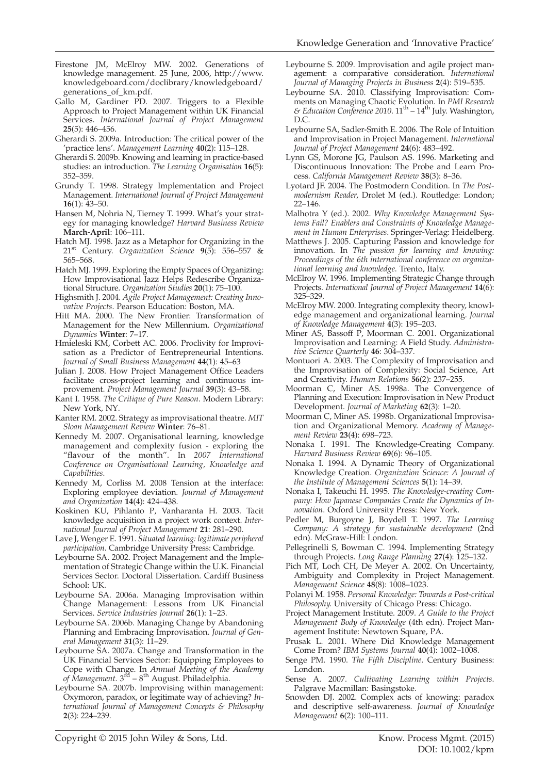- Firestone JM, McElroy MW. 2002. Generations of knowledge management. 25 June, 2006, [http://www.](http://www.knowledgeboard.com/doclibrary/knowledgeboard/generations_of_km.pdf) [knowledgeboard.com/doclibrary/knowledgeboard/](http://www.knowledgeboard.com/doclibrary/knowledgeboard/generations_of_km.pdf) [generations\\_of\\_km.pdf.](http://www.knowledgeboard.com/doclibrary/knowledgeboard/generations_of_km.pdf)
- Gallo M, Gardiner PD. 2007. Triggers to a Flexible Approach to Project Management within UK Financial Services. International Journal of Project Management 25(5): 446–456.
- Gherardi S. 2009a. Introduction: The critical power of the 'practice lens'. Management Learning 40(2): 115–128.
- Gherardi S. 2009b. Knowing and learning in practice-based studies: an introduction. The Learning Organisation 16(5): 352–359.
- Grundy T. 1998. Strategy Implementation and Project Management. International Journal of Project Management 16(1): 43–50.
- Hansen M, Nohria N, Tierney T. 1999. What's your strategy for managing knowledge? Harvard Business Review March-April: 106–111.
- Hatch MJ. 1998. Jazz as a Metaphor for Organizing in the  $21<sup>st</sup>$  Century. Organization Science  $9(5)$ : 556–557 & 565–568.
- Hatch MJ. 1999. Exploring the Empty Spaces of Organizing: How Improvisational Jazz Helps Redescribe Organizational Structure. Organization Studies 20(1): 75-100.
- Highsmith J. 2004. Agile Project Management: Creating Innovative Projects. Pearson Education: Boston, MA.
- Hitt MA. 2000. The New Frontier: Transformation of Management for the New Millennium. Organizational Dynamics Winter: 7–17.
- Hmieleski KM, Corbett AC. 2006. Proclivity for Improvisation as a Predictor of Eentrepreneurial Intentions. Journal of Small Business Management 44(1): 45–63
- Julian J. 2008. How Project Management Office Leaders facilitate cross-project learning and continuous improvement. Project Management Journal 39(3): 43–58.
- Kant I. 1958. The Critique of Pure Reason. Modern Library: New York, NY.
- Kanter RM. 2002. Strategy as improvisational theatre. MIT Sloan Management Review Winter: 76-81.
- Kennedy M. 2007. Organisational learning, knowledge management and complexity fusion - exploring the "flavour of the month". In 2007 International Conference on Organisational Learning, Knowledge and Capabilities.
- Kennedy M, Corliss M. 2008 Tension at the interface: Exploring employee deviation. Journal of Management and Organization 14(4): 424–438.
- Koskinen KU, Pihlanto P, Vanharanta H. 2003. Tacit knowledge acquisition in a project work context. International Journal of Project Management 21: 281–290.
- Lave J, Wenger E. 1991. Situated learning: legitimate peripheral participation. Cambridge University Press: Cambridge.
- Leybourne SA. 2002. Project Management and the Implementation of Strategic Change within the U.K. Financial Services Sector. Doctoral Dissertation. Cardiff Business School: UK.
- Leybourne SA. 2006a. Managing Improvisation within Change Management: Lessons from UK Financial Services. Service Industries Journal 26(1): 1-23.
- Leybourne SA. 2006b. Managing Change by Abandoning Planning and Embracing Improvisation. Journal of General Management 31(3): 11–29.
- Leybourne SA. 2007a. Change and Transformation in the UK Financial Services Sector: Equipping Employees to Cope with Change. In *Annual Meeting of the Academy*<br>*of Management.* 3<sup>rd</sup> – 8<sup>th</sup> August. Philadelphia.
- Leybourne SA. 2007b. Improvising within management: Oxymoron, paradox, or legitimate way of achieving? International Journal of Management Concepts & Philosophy 2(3): 224–239.
- Leybourne S. 2009. Improvisation and agile project management: a comparative consideration. International Journal of Managing Projects in Business 2(4): 519-535.
- Leybourne SA. 2010. Classifying Improvisation: Comments on Managing Chaotic Evolution. In PMI Research & Education Conference 2010.  $11^{\text{th}} - 14^{\text{th}}$  July. Washington, D.C.
- Leybourne SA, Sadler-Smith E. 2006. The Role of Intuition and Improvisation in Project Management. International Journal of Project Management 24(6): 483–492.
- Lynn GS, Morone JG, Paulson AS. 1996. Marketing and Discontinuous Innovation: The Probe and Learn Process. California Management Review 38(3): 8–36.
- Lyotard JF. 2004. The Postmodern Condition. In The Postmodernism Reader, Drolet M (ed.). Routledge: London; 22–146.
- Malhotra Y (ed.). 2002. Why Knowledge Management Systems Fail? Enablers and Constraints of Knowledge Management in Human Enterprises. Springer-Verlag: Heidelberg.
- Matthews J. 2005. Capturing Passion and knowledge for innovation. In The passion for learning and knowing: Proceedings of the 6th international conference on organizational learning and knowledge. Trento, Italy.
- McElroy W. 1996. Implementing Strategic Change through Projects. International Journal of Project Management 14(6): 325–329.
- McElroy MW. 2000. Integrating complexity theory, knowledge management and organizational learning. Journal of Knowledge Management 4(3): 195–203.
- Miner AS, Bassoff P, Moorman C. 2001. Organizational Improvisation and Learning: A Field Study. Administrative Science Quarterly 46: 304–337.
- Montuori A. 2003. The Complexity of Improvisation and the Improvisation of Complexity: Social Science, Art and Creativity. Human Relations 56(2): 237–255.
- Moorman C, Miner AS. 1998a. The Convergence of Planning and Execution: Improvisation in New Product Development. Journal of Marketing 62(3): 1–20.
- Moorman C, Miner AS. 1998b. Organizational Improvisation and Organizational Memory. Academy of Management Review **23**(4): 698–723.
- Nonaka I. 1991. The Knowledge-Creating Company. Harvard Business Review 69(6): 96-105.
- Nonaka I. 1994. A Dynamic Theory of Organizational Knowledge Creation. Organization Science: A Journal of the Institute of Management Sciences 5(1): 14–39.
- Nonaka I, Takeuchi H. 1995. The Knowledge-creating Company: How Japanese Companies Create the Dynamics of Innovation. Oxford University Press: New York.
- Pedler M, Burgoyne J, Boydell T. 1997. The Learning Company: A strategy for sustainable development (2nd edn). McGraw-Hill: London.
- Pellegrinelli S, Bowman C. 1994. Implementing Strategy through Projects. Long Range Planning 27(4): 125-132.
- Pich MT, Loch CH, De Meyer A. 2002. On Uncertainty, Ambiguity and Complexity in Project Management. Management Science 48(8): 1008–1023.
- Polanyi M. 1958. Personal Knowledge: Towards a Post-critical Philosophy. University of Chicago Press: Chicago.
- Project Management Institute. 2009. A Guide to the Project Management Body of Knowledge (4th edn). Project Management Institute: Newtown Square, PA.
- Prusak L. 2001. Where Did Knowledge Management Come From? IBM Systems Journal 40(4): 1002–1008.
- Senge PM. 1990. The Fifth Discipline. Century Business: London.
- Sense A. 2007. Cultivating Learning within Projects. Palgrave Macmillan: Basingstoke.
- Snowden DJ. 2002. Complex acts of knowing: paradox and descriptive self-awareness. Journal of Knowledge Management **6**(2): 100-111.